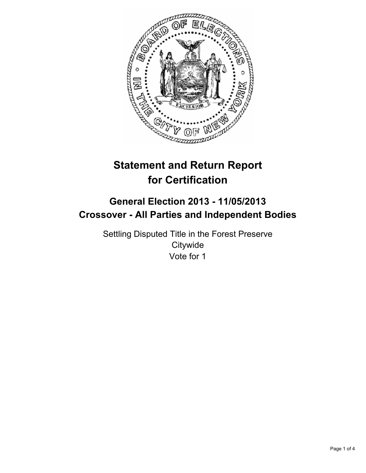

# **Statement and Return Report for Certification**

## **General Election 2013 - 11/05/2013 Crossover - All Parties and Independent Bodies**

Settling Disputed Title in the Forest Preserve **Citywide** Vote for 1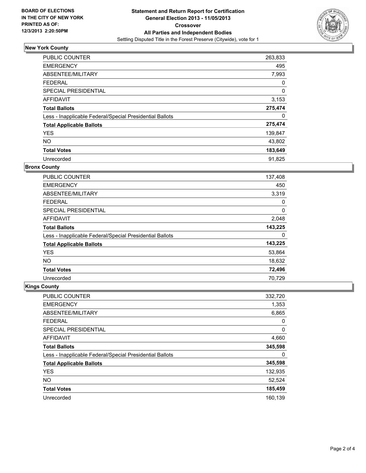

## **New York County**

| <b>PUBLIC COUNTER</b>                                    | 263,833 |
|----------------------------------------------------------|---------|
| <b>EMERGENCY</b>                                         | 495     |
| ABSENTEE/MILITARY                                        | 7,993   |
| <b>FEDERAL</b>                                           | 0       |
| <b>SPECIAL PRESIDENTIAL</b>                              | 0       |
| AFFIDAVIT                                                | 3,153   |
| <b>Total Ballots</b>                                     | 275,474 |
| Less - Inapplicable Federal/Special Presidential Ballots | 0       |
| <b>Total Applicable Ballots</b>                          | 275,474 |
| <b>YES</b>                                               | 139,847 |
| <b>NO</b>                                                | 43,802  |
| <b>Total Votes</b>                                       | 183,649 |
| Unrecorded                                               | 91,825  |

#### **Bronx County**

| <b>PUBLIC COUNTER</b>                                    | 137,408 |
|----------------------------------------------------------|---------|
| <b>EMERGENCY</b>                                         | 450     |
| ABSENTEE/MILITARY                                        | 3,319   |
| <b>FEDERAL</b>                                           | 0       |
| SPECIAL PRESIDENTIAL                                     | 0       |
| AFFIDAVIT                                                | 2,048   |
| <b>Total Ballots</b>                                     | 143,225 |
| Less - Inapplicable Federal/Special Presidential Ballots | 0       |
| <b>Total Applicable Ballots</b>                          | 143,225 |
| <b>YES</b>                                               | 53,864  |
| <b>NO</b>                                                | 18,632  |
| <b>Total Votes</b>                                       | 72,496  |
| Unrecorded                                               | 70,729  |

## **Kings County**

| <b>PUBLIC COUNTER</b>                                    | 332,720 |
|----------------------------------------------------------|---------|
| <b>EMERGENCY</b>                                         | 1,353   |
| ABSENTEE/MILITARY                                        | 6,865   |
| <b>FEDERAL</b>                                           | 0       |
| SPECIAL PRESIDENTIAL                                     | 0       |
| <b>AFFIDAVIT</b>                                         | 4,660   |
| <b>Total Ballots</b>                                     | 345,598 |
| Less - Inapplicable Federal/Special Presidential Ballots | 0       |
| <b>Total Applicable Ballots</b>                          | 345,598 |
| <b>YES</b>                                               | 132,935 |
| <b>NO</b>                                                | 52,524  |
| <b>Total Votes</b>                                       | 185,459 |
| Unrecorded                                               | 160.139 |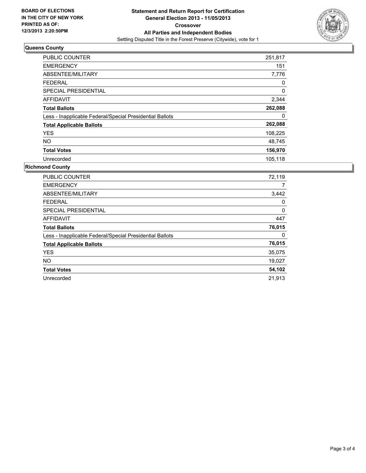

### **Queens County**

| <b>PUBLIC COUNTER</b>                                    | 251,817  |
|----------------------------------------------------------|----------|
| <b>EMERGENCY</b>                                         | 151      |
| ABSENTEE/MILITARY                                        | 7,776    |
| <b>FEDERAL</b>                                           | 0        |
| <b>SPECIAL PRESIDENTIAL</b>                              | $\Omega$ |
| <b>AFFIDAVIT</b>                                         | 2,344    |
| <b>Total Ballots</b>                                     | 262,088  |
| Less - Inapplicable Federal/Special Presidential Ballots | 0        |
| <b>Total Applicable Ballots</b>                          | 262,088  |
| <b>YES</b>                                               | 108,225  |
| NO.                                                      | 48,745   |
| <b>Total Votes</b>                                       | 156,970  |
| Unrecorded                                               | 105,118  |

## **Richmond County**

| <b>PUBLIC COUNTER</b>                                    | 72,119 |
|----------------------------------------------------------|--------|
| <b>EMERGENCY</b>                                         | 7      |
| ABSENTEE/MILITARY                                        | 3,442  |
| <b>FEDERAL</b>                                           | 0      |
| <b>SPECIAL PRESIDENTIAL</b>                              | 0      |
| <b>AFFIDAVIT</b>                                         | 447    |
| <b>Total Ballots</b>                                     | 76,015 |
| Less - Inapplicable Federal/Special Presidential Ballots | 0      |
| <b>Total Applicable Ballots</b>                          | 76,015 |
| <b>YES</b>                                               | 35,075 |
| <b>NO</b>                                                | 19,027 |
| <b>Total Votes</b>                                       | 54,102 |
| Unrecorded                                               | 21,913 |